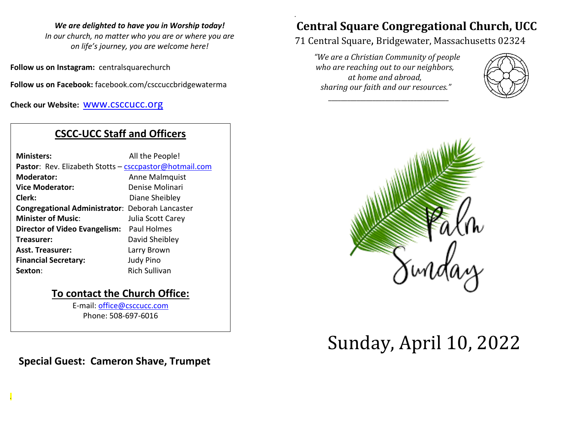#### *We are delighted to have you in Worship today!*

*In our church, no matter who you are or where you are on life's journey, you are welcome here!*

**Follow us on Instagram:** centralsquarechurch

**Follow us on Facebook:** facebook.com/csccuccbridgewaterma

**Check our Website:** [www.csccucc.org](about:blank)

# **CSCC-UCC Staff and Officers**

| <b>Ministers:</b>                                      | All the People!      |
|--------------------------------------------------------|----------------------|
| Pastor: Rev. Elizabeth Stotts - csccpastor@hotmail.com |                      |
| <b>Moderator:</b>                                      | Anne Malmquist       |
| <b>Vice Moderator:</b>                                 | Denise Molinari      |
| Clerk:                                                 | Diane Sheibley       |
| <b>Congregational Administrator: Deborah Lancaster</b> |                      |
| <b>Minister of Music:</b>                              | Julia Scott Carey    |
| <b>Director of Video Evangelism:</b>                   | Paul Holmes          |
| Treasurer:                                             | David Sheibley       |
| <b>Asst. Treasurer:</b>                                | Larry Brown          |
| <b>Financial Secretary:</b>                            | <b>Judy Pino</b>     |
| Sexton:                                                | <b>Rich Sullivan</b> |
|                                                        |                      |

## **To contact the Church Office:**

E-mail: [office@csccucc.com](mailto:office@csccucc.com) Phone: 508-697-6016

**Special Guest: Cameron Shave, Trumpet**

*.*

## *.* **Central Square Congregational Church, UCC**

# 71 Central Square, Bridgewater, Massachusetts 02324

*"We are a Christian Community of people who are reaching out to our neighbors, at home and abroad, sharing our faith and our resources."*

*\_\_\_\_\_\_\_\_\_\_\_\_\_\_\_\_\_\_\_\_\_\_\_\_\_\_\_\_\_\_\_\_\_\_\_\_\_\_*





# Sunday, April 10, 2022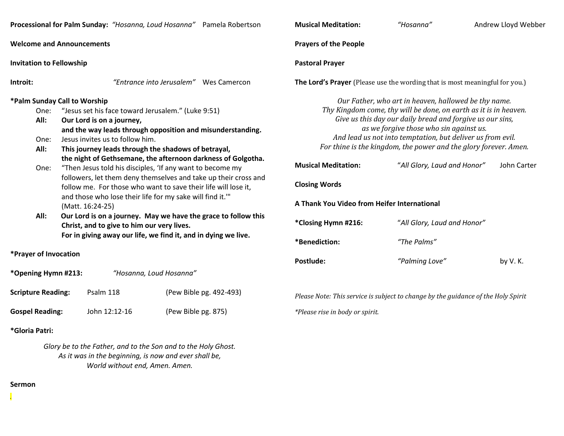|                                                                     | Processional for Palm Sunday: "Hosanna, Loud Hosanna" Pamela Robertson                                                                                                                                                                                                                                                      | <b>Musical Meditation:</b>                                                                        | "Hosanna"                                                                                                                                                                                                                                                                                                                                                          | Andrew Lloyd Webb |
|---------------------------------------------------------------------|-----------------------------------------------------------------------------------------------------------------------------------------------------------------------------------------------------------------------------------------------------------------------------------------------------------------------------|---------------------------------------------------------------------------------------------------|--------------------------------------------------------------------------------------------------------------------------------------------------------------------------------------------------------------------------------------------------------------------------------------------------------------------------------------------------------------------|-------------------|
| <b>Welcome and Announcements</b><br><b>Invitation to Fellowship</b> |                                                                                                                                                                                                                                                                                                                             | <b>Prayers of the People</b><br><b>Pastoral Prayer</b>                                            |                                                                                                                                                                                                                                                                                                                                                                    |                   |
|                                                                     |                                                                                                                                                                                                                                                                                                                             |                                                                                                   |                                                                                                                                                                                                                                                                                                                                                                    |                   |
| One:<br>All:<br>One:                                                | *Palm Sunday Call to Worship<br>"Jesus set his face toward Jerusalem." (Luke 9:51)<br>Our Lord is on a journey,<br>and the way leads through opposition and misunderstanding.<br>Jesus invites us to follow him.<br>All:<br>This journey leads through the shadows of betrayal,                                             |                                                                                                   | Our Father, who art in heaven, hallowed be thy name.<br>Thy Kingdom come, thy will be done, on earth as it is in heaven.<br>Give us this day our daily bread and forgive us our sins,<br>as we forgive those who sin against us.<br>And lead us not into temptation, but deliver us from evil.<br>For thine is the kingdom, the power and the glory forever. Amen. |                   |
| One:                                                                | the night of Gethsemane, the afternoon darkness of Golgotha.<br>"Then Jesus told his disciples, 'If any want to become my<br>followers, let them deny themselves and take up their cross and<br>follow me. For those who want to save their life will lose it,<br>and those who lose their life for my sake will find it."" | <b>Musical Meditation:</b><br><b>Closing Words</b><br>A Thank You Video from Heifer International | "All Glory, Laud and Honor"                                                                                                                                                                                                                                                                                                                                        | John Carter       |
| All:                                                                | (Matt. 16:24-25)<br>Our Lord is on a journey. May we have the grace to follow this<br>Christ, and to give to him our very lives.<br>For in giving away our life, we find it, and in dying we live.                                                                                                                          | *Closing Hymn #216:                                                                               | "All Glory, Laud and Honor"                                                                                                                                                                                                                                                                                                                                        |                   |
| *Prayer of Invocation                                               |                                                                                                                                                                                                                                                                                                                             | *Benediction:<br>Postlude:                                                                        | "The Palms"<br>"Palming Love"                                                                                                                                                                                                                                                                                                                                      | by V.K.           |
| *Opening Hymn #213:                                                 | "Hosanna, Loud Hosanna"                                                                                                                                                                                                                                                                                                     |                                                                                                   |                                                                                                                                                                                                                                                                                                                                                                    |                   |
| <b>Scripture Reading:</b>                                           | (Pew Bible pg. 492-493)<br>Psalm 118                                                                                                                                                                                                                                                                                        |                                                                                                   | Please Note: This service is subject to change by the guidance of the Holy Spirit                                                                                                                                                                                                                                                                                  |                   |

*\*Please rise in body or spirit.*

**Musical Meditation:** *"Hosanna"* Andrew Lloyd Webber

**\*Gloria Patri:**

*Glory be to the Father, and to the Son and to the Holy Ghost. As it was in the beginning, is now and ever shall be, World without end, Amen. Amen.*

**Gospel Reading:** John 12:12-16 (Pew Bible pg. 875)

#### **Sermon**

*.*